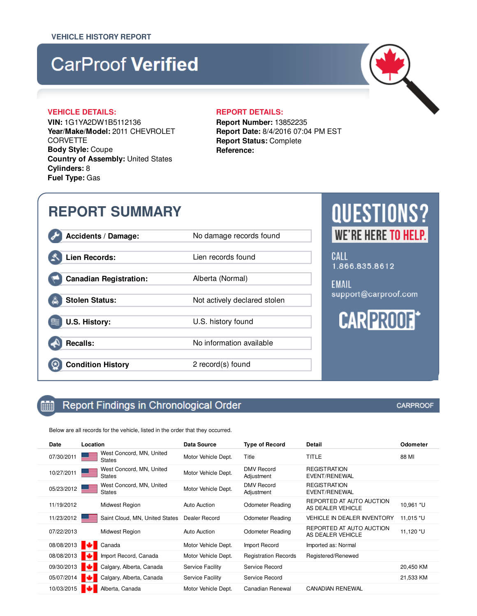# **CarProof Verified**

### **VEHICLE DETAILS: REPORT DETAILS:**

**VIN:** 1G1YA2DW1B5112136 **Year/Make/Model:** 2011 CHEVROLET **CORVETTE Body Style:** Coupe **Country of Assembly:** United States **Cylinders:** 8 **Fuel Type:** Gas

**Report Number:** 13852235 **Report Date:** 8/4/2016 07:04 PM EST **Report Status:** Complete **Reference:**

### **REPORT SUMMARY** Accidents / Damage: No damage records found CALL Lien Records: Lien records found 1.866.835.8612 **Canadian Registration:** Alberta (Normal) **EMAIL** support@carproof.com **Stolen Status:** Not actively declared stolen **CAR PROOF! U.S. History:** U.S. history found **Recalls:** No information available **Condition History** 2 record(s) found

#### Report Findings in Chronological Order 鯆

Below are all records for the vehicle, listed in the order that they occurred.

| Date       | Location                                  | Data Source             | <b>Type of Record</b>           | Detail                                        | Odometer  |
|------------|-------------------------------------------|-------------------------|---------------------------------|-----------------------------------------------|-----------|
| 07/30/2011 | West Concord, MN, United<br><b>States</b> | Motor Vehicle Dept.     | Title                           | TITLE                                         | 88 MI     |
| 10/27/2011 | West Concord, MN, United<br><b>States</b> | Motor Vehicle Dept.     | <b>DMV Record</b><br>Adjustment | <b>REGISTRATION</b><br><b>EVENT/RENEWAL</b>   |           |
| 05/23/2012 | West Concord, MN, United<br><b>States</b> | Motor Vehicle Dept.     | <b>DMV</b> Record<br>Adjustment | <b>REGISTRATION</b><br>EVENT/RENEWAL          |           |
| 11/19/2012 | Midwest Region                            | Auto Auction            | <b>Odometer Reading</b>         | REPORTED AT AUTO AUCTION<br>AS DEALER VEHICLE | 10,961 *U |
| 11/23/2012 | Saint Cloud, MN, United States            | Dealer Record           | Odometer Reading                | <b>VEHICLE IN DEALER INVENTORY</b>            | 11,015 *U |
| 07/22/2013 | Midwest Region                            | Auto Auction            | Odometer Reading                | REPORTED AT AUTO AUCTION<br>AS DEALER VEHICLE | 11,120 *U |
| 08/08/2013 | Canada                                    | Motor Vehicle Dept.     | Import Record                   | Imported as: Normal                           |           |
| 08/08/2013 | Import Record, Canada                     | Motor Vehicle Dept.     | <b>Registration Records</b>     | Registered/Renewed                            |           |
| 09/30/2013 | Calgary, Alberta, Canada                  | <b>Service Facility</b> | Service Record                  |                                               | 20,450 KM |
| 05/07/2014 | Calgary, Alberta, Canada                  | Service Facility        | Service Record                  |                                               | 21,533 KM |
| 10/03/2015 | Alberta, Canada                           | Motor Vehicle Dept.     | Canadian Renewal                | <b>CANADIAN RENEWAL</b>                       |           |

**QUESTIONS? WE'RE HERE TO HELP.**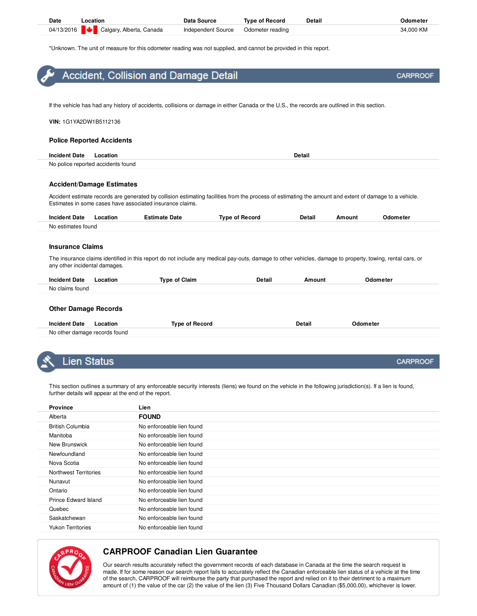| <b>Date</b> | Location                            | Data Source               | <b>Type of Record</b> | Detail | Odometer  |
|-------------|-------------------------------------|---------------------------|-----------------------|--------|-----------|
|             | 04/13/2016 Calgary, Alberta, Canada | <b>Independent Source</b> | Odometer reading      |        | 34.000 KM |

\*Unknown. The unit of measure for this odometer reading was not supplied, and cannot be provided in this report.

| $\bullet$ Accident, Collision and Damage Detail                                                                                               | <b>CARPROOF</b> |
|-----------------------------------------------------------------------------------------------------------------------------------------------|-----------------|
|                                                                                                                                               |                 |
| If the vehicle has had any history of accidents, collisions or damage in either Canada or the U.S., the records are outlined in this section. |                 |

**VIN:** 1G1YA2DW1B5112136

#### **Police Reported Accidents**

| Incid<br>Jate.<br>. | ocation<br>.                       | ran<br>. |
|---------------------|------------------------------------|----------|
|                     | No police reported accidents found |          |

#### **Accident/Damage Estimates**

Accident estimate records are generated by collision estimating facilities from the process of estimating the amount and extent of damage to a vehicle. Estimates in some cases have associated insurance claims.

| <b>Incident Date</b> | Location | Estimate Date | <b>Type of Record</b> | <b>Detail</b> | Amount | Odometer |
|----------------------|----------|---------------|-----------------------|---------------|--------|----------|
| No estimates found   |          |               |                       |               |        |          |

#### **Insurance Claims**

The insurance claims identified in this report do not include any medical pay-outs, damage to other vehicles, damage to property, towing, rental cars, or any other incidental damages.

| <b>Incident Date</b>        | Location | <b>Type of Claim</b> | <b>Detail</b> | Amount | Odometer |
|-----------------------------|----------|----------------------|---------------|--------|----------|
| No claims found             |          |                      |               |        |          |
|                             |          |                      |               |        |          |
| <b>Other Damage Records</b> |          |                      |               |        |          |

| <b>Incident Date</b>          | _ocation | Tvne | Detail | <b>Odometer</b> |
|-------------------------------|----------|------|--------|-----------------|
| No other damage records found |          |      |        |                 |

### .ien Status

This section outlines a summary of any enforceable security interests (liens) we found on the vehicle in the following jurisdiction(s). If a lien is found, further details will appear at the end of the report.

| <b>Province</b>              | Lien                      |
|------------------------------|---------------------------|
| Alberta                      | <b>FOUND</b>              |
| <b>British Columbia</b>      | No enforceable lien found |
| Manitoba                     | No enforceable lien found |
| New Brunswick                | No enforceable lien found |
| Newfoundland                 | No enforceable lien found |
| Nova Scotia                  | No enforceable lien found |
| <b>Northwest Territories</b> | No enforceable lien found |
| Nunavut                      | No enforceable lien found |
| Ontario                      | No enforceable lien found |
| Prince Edward Island         | No enforceable lien found |
| Quebec                       | No enforceable lien found |
| Saskatchewan                 | No enforceable lien found |
| <b>Yukon Territories</b>     | No enforceable lien found |



### **CARPROOF Canadian Lien Guarantee**

Our search results accurately reflect the government records of each database in Canada at the time the search request is made. If for some reason our search report fails to accurately reflect the Canadian enforceable lien status of a vehicle at the time of the search, CARPROOF will reimburse the party that purchased the report and relied on it to their detriment to a maximum amount of (1) the value of the car (2) the value of the lien (3) Five Thousand Dollars Canadian (\$5,000.00), whichever is lower.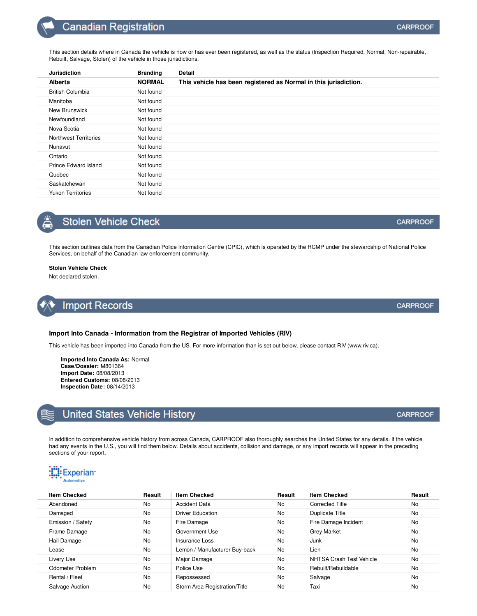### **Canadian Registration**

| <b>Jurisdiction</b>      | <b>Branding</b> | <b>Detail</b>                                                    |
|--------------------------|-----------------|------------------------------------------------------------------|
| <b>Alberta</b>           | <b>NORMAL</b>   | This vehicle has been registered as Normal in this jurisdiction. |
| <b>British Columbia</b>  | Not found       |                                                                  |
| Manitoba                 | Not found       |                                                                  |
| New Brunswick            | Not found       |                                                                  |
| Newfoundland             | Not found       |                                                                  |
| Nova Scotia              | Not found       |                                                                  |
| Northwest Territories    | Not found       |                                                                  |
| Nunavut                  | Not found       |                                                                  |
| Ontario                  | Not found       |                                                                  |
| Prince Edward Island     | Not found       |                                                                  |
| Quebec                   | Not found       |                                                                  |
| Saskatchewan             | Not found       |                                                                  |
| <b>Yukon Territories</b> | Not found       |                                                                  |

### **Stolen Vehicle Check**

This section outlines data from the Canadian Police Information Centre (CPIC), which is operated by the RCMP under the stewardship of National Police Services, on behalf of the Canadian law enforcement community.

### **Stolen Vehicle Check**

Not declared stolen.

### **Import Records**

### **Import Into Canada - Information from the Registrar of Imported Vehicles (RIV)**

This vehicle has been imported into Canada from the US. For more information than is set out below, please contact RIV (www.riv.ca).

**Imported Into Canada As:** Normal **Case/Dossier:** M801364 **Import Date:** 08/08/2013 **Entered Customs:** 08/08/2013 **Inspection Date:** 08/14/2013

### **United States Vehicle History**

In addition to comprehensive vehicle history from across Canada, CARPROOF also thoroughly searches the United States for any details. If the vehicle had any events in the U.S., you will find them below. Details about accidents, collision and damage, or any import records will appear in the preceding sections of your report.



| <b>Item Checked</b> | Result    | <b>Item Checked</b>           | Result    | <b>Item Checked</b>      | Result    |
|---------------------|-----------|-------------------------------|-----------|--------------------------|-----------|
| Abandoned           | No        | <b>Accident Data</b>          | No.       | <b>Corrected Title</b>   | No.       |
| Damaged             | <b>No</b> | <b>Driver Education</b>       | No        | Duplicate Title          | No.       |
| Emission / Safety   | <b>No</b> | Fire Damage                   | No        | Fire Damage Incident     | No.       |
| Frame Damage        | <b>No</b> | Government Use                | No        | <b>Grey Market</b>       | No        |
| Hail Damage         | <b>No</b> | Insurance Loss                | <b>No</b> | Junk                     | No        |
| Lease               | <b>No</b> | Lemon / Manufacturer Buy-back | No        | Lien                     | No        |
| Livery Use          | <b>No</b> | Major Damage                  | No        | NHTSA Crash Test Vehicle | <b>No</b> |
| Odometer Problem    | <b>No</b> | Police Use                    | No        | Rebuilt/Rebuildable      | <b>No</b> |
| Rental / Fleet      | <b>No</b> | Repossessed                   | No        | Salvage                  | <b>No</b> |
| Salvage Auction     | <b>No</b> | Storm Area Registration/Title | No        | Taxi                     | No        |

**CARPROOF** 

**CARPROOF** 

**CARPROOF**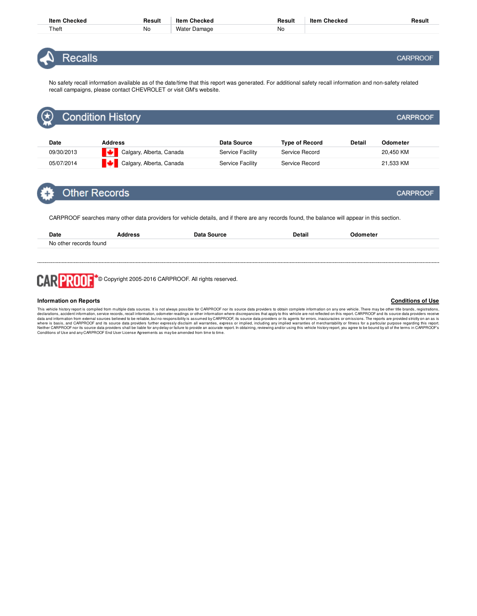| ltem<br>Checked | Result    | Checked<br>ltem              | Result | ltem<br>Checked | Resul |
|-----------------|-----------|------------------------------|--------|-----------------|-------|
| Theft           | <b>No</b> | Water<br><sup>.</sup> Damage | No     |                 |       |

**Recalls** 

No safety recall information available as of the date/time that this report was generated. For additional safety recall information and non-safety related recall campaigns, please contact CHEVROLET or visit GM's website.

| 【め          | <b>Condition History</b> |                  |                       |        | <b>CARPROOF</b> |  |
|-------------|--------------------------|------------------|-----------------------|--------|-----------------|--|
|             |                          |                  |                       |        |                 |  |
| <b>Date</b> | <b>Address</b>           | Data Source      | <b>Type of Record</b> | Detail | Odometer        |  |
| 09/30/2013  | Calgary, Alberta, Canada | Service Facility | Service Record        |        | 20,450 KM       |  |
| 05/07/2014  | Calgary, Alberta, Canada | Service Facility | Service Record        |        | 21,533 KM       |  |

### **Other Records**

CARPROOF searches many other data providers for vehicle details, and if there are any records found, the balance will appear in this section.

| Date                   | Address<br>- - - | Data Source | Detail<br>. | )dometer<br>. |
|------------------------|------------------|-------------|-------------|---------------|
| No other records found |                  |             |             |               |
|                        |                  |             |             |               |

CARPROOF<sup>+</sup>© Copyright 2005-2016 CARPROOF. All rights reserved.

#### **Information on Reports**

This vehicle history report is compiled from multiple data sources. It is not always possible for CARPROOF nor its source data providers to obtain complete information on any one vehicle. There may be other title brands, r

### **Conditions of Use**

**CARPROOF**